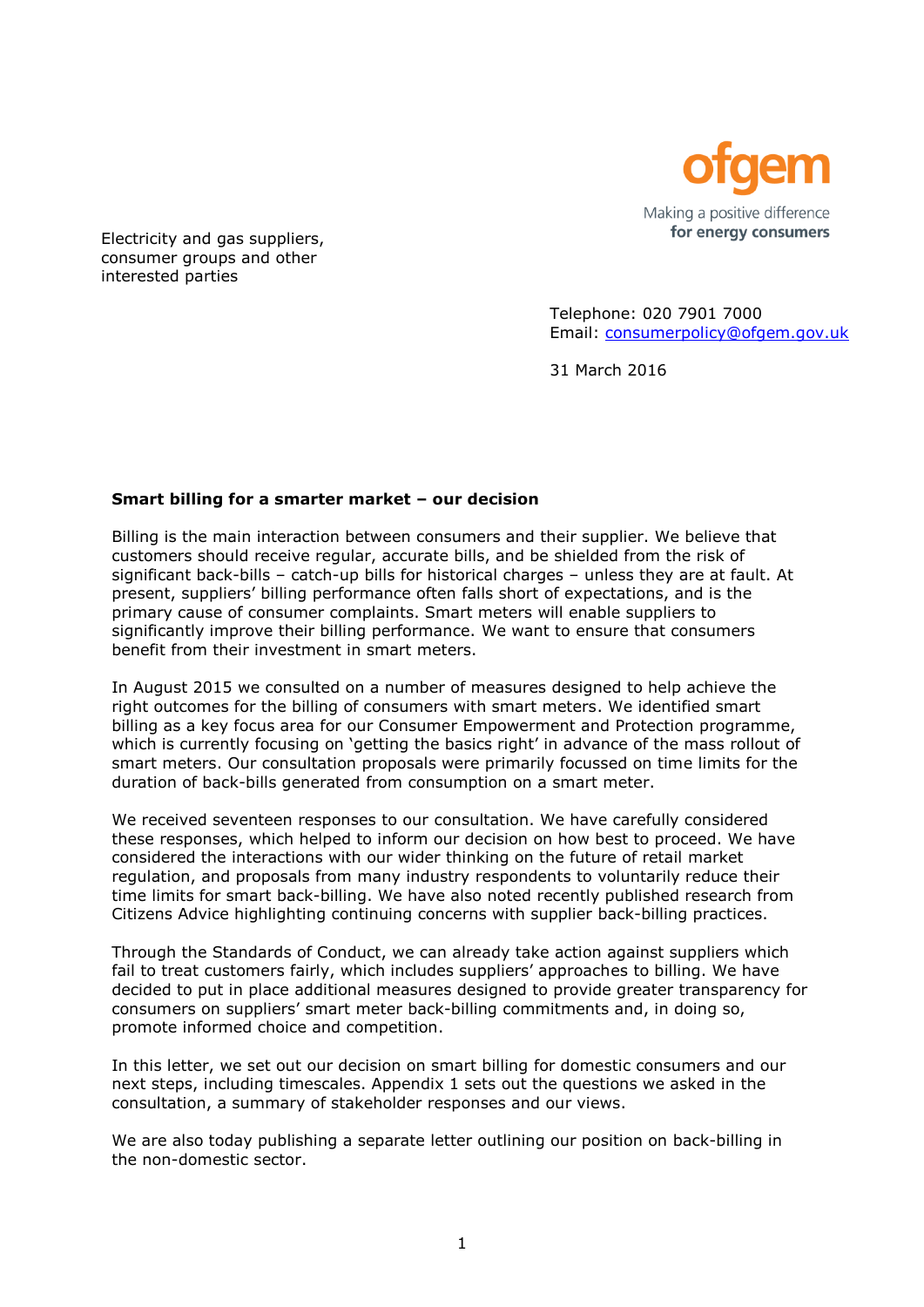

Electricity and gas suppliers, consumer groups and other interested parties

> Telephone: 020 7901 7000 Email: [consumerpolicy@ofgem.gov.uk](mailto:consumerpolicy@ofgem.gov.uk)

31 March 2016

# **Smart billing for a smarter market – our decision**

Billing is the main interaction between consumers and their supplier. We believe that customers should receive regular, accurate bills, and be shielded from the risk of significant back-bills – catch-up bills for historical charges – unless they are at fault. At present, suppliers' billing performance often falls short of expectations, and is the primary cause of consumer complaints. Smart meters will enable suppliers to significantly improve their billing performance. We want to ensure that consumers benefit from their investment in smart meters.

In August 2015 we consulted on a number of measures designed to help achieve the right outcomes for the billing of consumers with smart meters. We identified smart billing as a key focus area for our Consumer Empowerment and Protection programme, which is currently focusing on 'getting the basics right' in advance of the mass rollout of smart meters. Our consultation proposals were primarily focussed on time limits for the duration of back-bills generated from consumption on a smart meter.

We received seventeen responses to our consultation. We have carefully considered these responses, which helped to inform our decision on how best to proceed. We have considered the interactions with our wider thinking on the future of retail market regulation, and proposals from many industry respondents to voluntarily reduce their time limits for smart back-billing. We have also noted recently published research from Citizens Advice highlighting continuing concerns with supplier back-billing practices.

Through the Standards of Conduct, we can already take action against suppliers which fail to treat customers fairly, which includes suppliers' approaches to billing. We have decided to put in place additional measures designed to provide greater transparency for consumers on suppliers' smart meter back-billing commitments and, in doing so, promote informed choice and competition.

In this letter, we set out our decision on smart billing for domestic consumers and our next steps, including timescales. Appendix 1 sets out the questions we asked in the consultation, a summary of stakeholder responses and our views.

We are also today publishing a separate letter outlining our position on back-billing in the non-domestic sector.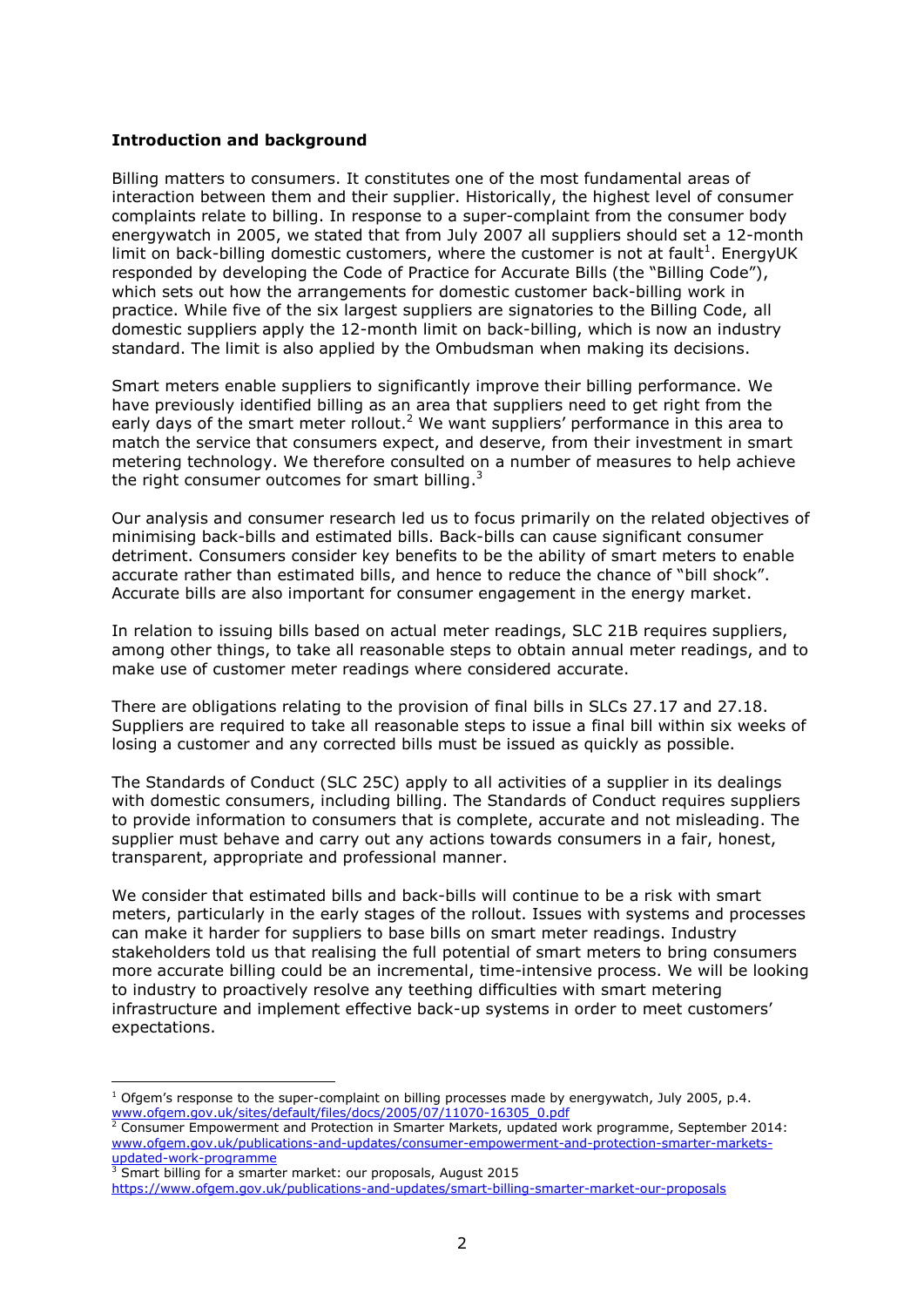# **Introduction and background**

Billing matters to consumers. It constitutes one of the most fundamental areas of interaction between them and their supplier. Historically, the highest level of consumer complaints relate to billing. In response to a super-complaint from the consumer body energywatch in 2005, we stated that from July 2007 all suppliers should set a 12-month limit on back-billing domestic customers, where the customer is not at fault<sup>1</sup>. EnergyUK responded by developing the Code of Practice for Accurate Bills (the "Billing Code"), which sets out how the arrangements for domestic customer back-billing work in practice. While five of the six largest suppliers are signatories to the Billing Code, all domestic suppliers apply the 12-month limit on back-billing, which is now an industry standard. The limit is also applied by the Ombudsman when making its decisions.

Smart meters enable suppliers to significantly improve their billing performance. We have previously identified billing as an area that suppliers need to get right from the early days of the smart meter rollout.<sup>2</sup> We want suppliers' performance in this area to match the service that consumers expect, and deserve, from their investment in smart metering technology. We therefore consulted on a number of measures to help achieve the right consumer outcomes for smart billing. $3$ 

Our analysis and consumer research led us to focus primarily on the related objectives of minimising back-bills and estimated bills. Back-bills can cause significant consumer detriment. Consumers consider key benefits to be the ability of smart meters to enable accurate rather than estimated bills, and hence to reduce the chance of "bill shock". Accurate bills are also important for consumer engagement in the energy market.

In relation to issuing bills based on actual meter readings, SLC 21B requires suppliers, among other things, to take all reasonable steps to obtain annual meter readings, and to make use of customer meter readings where considered accurate.

There are obligations relating to the provision of final bills in SLCs 27.17 and 27.18. Suppliers are required to take all reasonable steps to issue a final bill within six weeks of losing a customer and any corrected bills must be issued as quickly as possible.

The Standards of Conduct (SLC 25C) apply to all activities of a supplier in its dealings with domestic consumers, including billing. The Standards of Conduct requires suppliers to provide information to consumers that is complete, accurate and not misleading. The supplier must behave and carry out any actions towards consumers in a fair, honest, transparent, appropriate and professional manner.

We consider that estimated bills and back-bills will continue to be a risk with smart meters, particularly in the early stages of the rollout. Issues with systems and processes can make it harder for suppliers to base bills on smart meter readings. Industry stakeholders told us that realising the full potential of smart meters to bring consumers more accurate billing could be an incremental, time-intensive process. We will be looking to industry to proactively resolve any teething difficulties with smart metering infrastructure and implement effective back-up systems in order to meet customers' expectations.

 $3$  Smart billing for a smarter market: our proposals, August 2015 <https://www.ofgem.gov.uk/publications-and-updates/smart-billing-smarter-market-our-proposals>

<sup>-</sup> $1$  Ofgem's response to the super-complaint on billing processes made by energywatch, July 2005, p.4. [www.ofgem.gov.uk/sites/default/files/docs/2005/07/11070-16305\\_0.pdf](https://www.ofgem.gov.uk/sites/default/files/docs/2005/07/11070-16305_0.pdf)

 $2$  Consumer Empowerment and Protection in Smarter Markets, updated work programme, September 2014: [www.ofgem.gov.uk/publications-and-updates/consumer-empowerment-and-protection-smarter-markets](http://www.ofgem.gov.uk/publications-and-updates/consumer-empowerment-and-protection-smarter-markets-updated-work-programme)[updated-work-programme](http://www.ofgem.gov.uk/publications-and-updates/consumer-empowerment-and-protection-smarter-markets-updated-work-programme)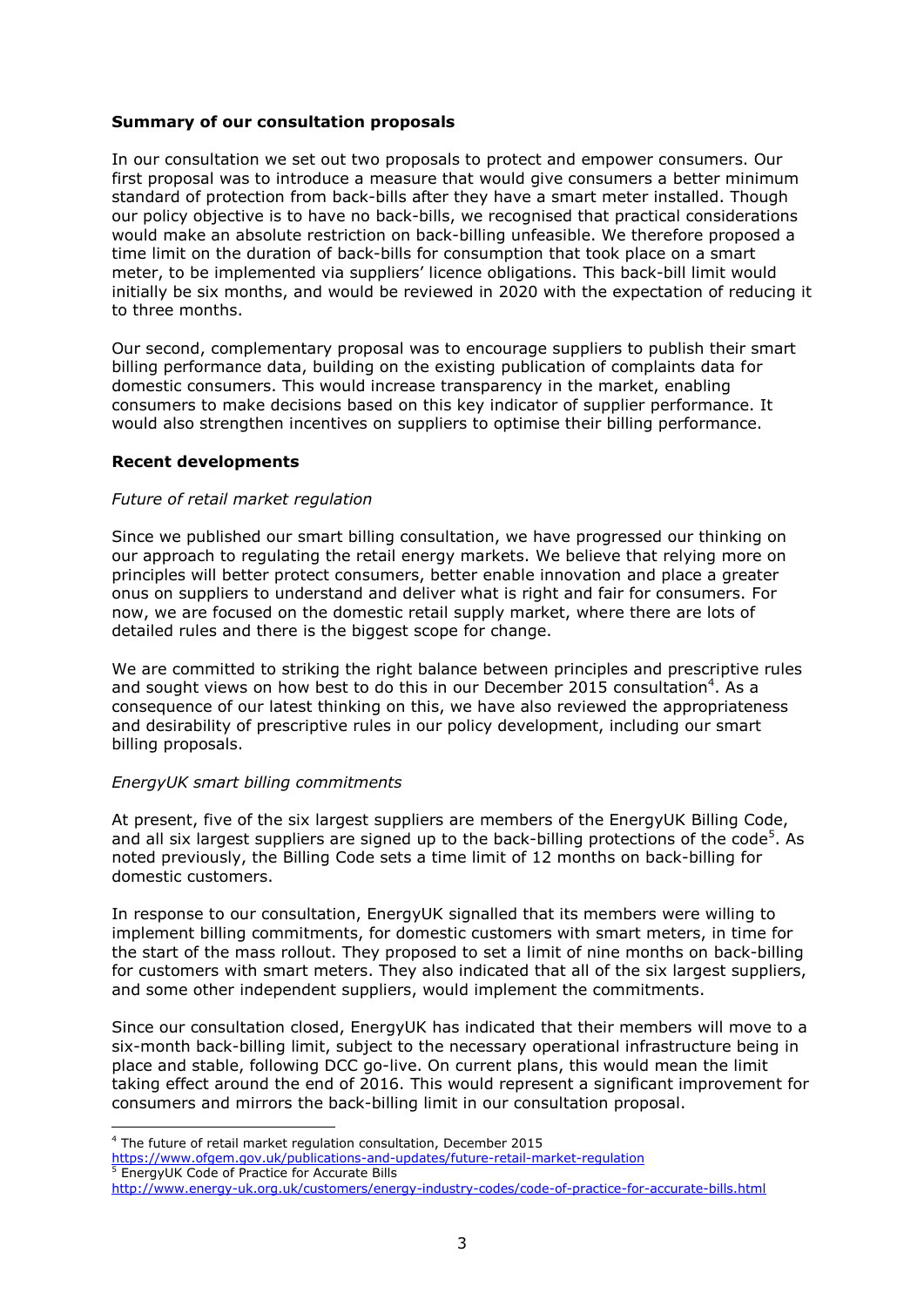# **Summary of our consultation proposals**

In our consultation we set out two proposals to protect and empower consumers. Our first proposal was to introduce a measure that would give consumers a better minimum standard of protection from back-bills after they have a smart meter installed. Though our policy objective is to have no back-bills, we recognised that practical considerations would make an absolute restriction on back-billing unfeasible. We therefore proposed a time limit on the duration of back-bills for consumption that took place on a smart meter, to be implemented via suppliers' licence obligations. This back-bill limit would initially be six months, and would be reviewed in 2020 with the expectation of reducing it to three months.

Our second, complementary proposal was to encourage suppliers to publish their smart billing performance data, building on the existing publication of complaints data for domestic consumers. This would increase transparency in the market, enabling consumers to make decisions based on this key indicator of supplier performance. It would also strengthen incentives on suppliers to optimise their billing performance.

# **Recent developments**

# *Future of retail market regulation*

Since we published our smart billing consultation, we have progressed our thinking on our approach to regulating the retail energy markets. We believe that relying more on principles will better protect consumers, better enable innovation and place a greater onus on suppliers to understand and deliver what is right and fair for consumers. For now, we are focused on the domestic retail supply market, where there are lots of detailed rules and there is the biggest scope for change.

We are committed to striking the right balance between principles and prescriptive rules and sought views on how best to do this in our December 2015 consultation<sup>4</sup>. As a consequence of our latest thinking on this, we have also reviewed the appropriateness and desirability of prescriptive rules in our policy development, including our smart billing proposals.

## *EnergyUK smart billing commitments*

At present, five of the six largest suppliers are members of the EnergyUK Billing Code, and all six largest suppliers are signed up to the back-billing protections of the code<sup>5</sup>. As noted previously, the Billing Code sets a time limit of 12 months on back-billing for domestic customers.

In response to our consultation, EnergyUK signalled that its members were willing to implement billing commitments, for domestic customers with smart meters, in time for the start of the mass rollout. They proposed to set a limit of nine months on back-billing for customers with smart meters. They also indicated that all of the six largest suppliers, and some other independent suppliers, would implement the commitments.

Since our consultation closed, EnergyUK has indicated that their members will move to a six-month back-billing limit, subject to the necessary operational infrastructure being in place and stable, following DCC go-live. On current plans, this would mean the limit taking effect around the end of 2016. This would represent a significant improvement for consumers and mirrors the back-billing limit in our consultation proposal.

- <sup>5</sup> EnergyUK Code of Practice for Accurate Bills
- <http://www.energy-uk.org.uk/customers/energy-industry-codes/code-of-practice-for-accurate-bills.html>

<sup>-</sup><sup>4</sup> The future of retail market regulation consultation, December 2015

<https://www.ofgem.gov.uk/publications-and-updates/future-retail-market-regulation>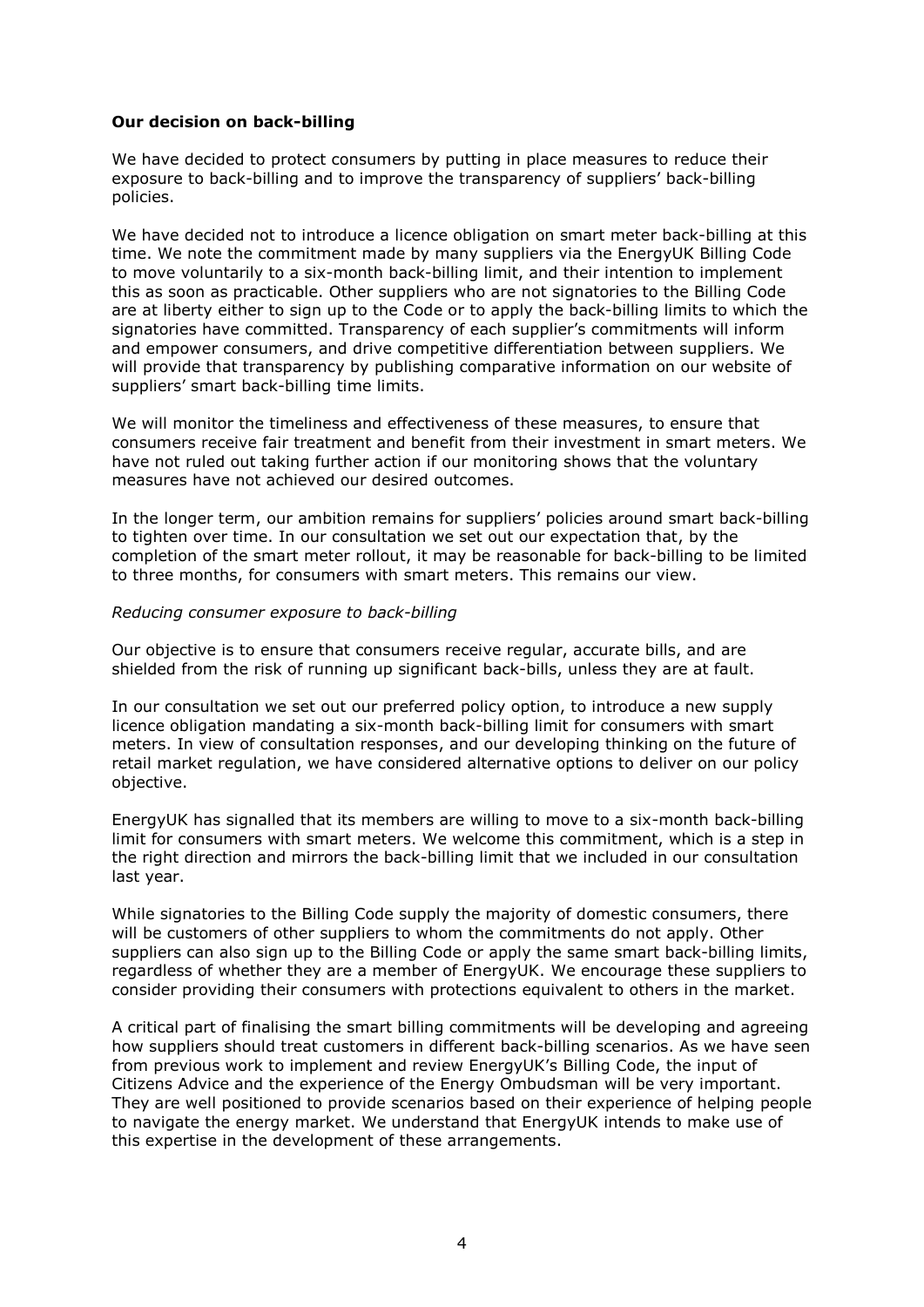# **Our decision on back-billing**

We have decided to protect consumers by putting in place measures to reduce their exposure to back-billing and to improve the transparency of suppliers' back-billing policies.

We have decided not to introduce a licence obligation on smart meter back-billing at this time. We note the commitment made by many suppliers via the EnergyUK Billing Code to move voluntarily to a six-month back-billing limit, and their intention to implement this as soon as practicable. Other suppliers who are not signatories to the Billing Code are at liberty either to sign up to the Code or to apply the back-billing limits to which the signatories have committed. Transparency of each supplier's commitments will inform and empower consumers, and drive competitive differentiation between suppliers. We will provide that transparency by publishing comparative information on our website of suppliers' smart back-billing time limits.

We will monitor the timeliness and effectiveness of these measures, to ensure that consumers receive fair treatment and benefit from their investment in smart meters. We have not ruled out taking further action if our monitoring shows that the voluntary measures have not achieved our desired outcomes.

In the longer term, our ambition remains for suppliers' policies around smart back-billing to tighten over time. In our consultation we set out our expectation that, by the completion of the smart meter rollout, it may be reasonable for back-billing to be limited to three months, for consumers with smart meters. This remains our view.

### *Reducing consumer exposure to back-billing*

Our objective is to ensure that consumers receive regular, accurate bills, and are shielded from the risk of running up significant back-bills, unless they are at fault.

In our consultation we set out our preferred policy option, to introduce a new supply licence obligation mandating a six-month back-billing limit for consumers with smart meters. In view of consultation responses, and our developing thinking on the future of retail market regulation, we have considered alternative options to deliver on our policy objective.

EnergyUK has signalled that its members are willing to move to a six-month back-billing limit for consumers with smart meters. We welcome this commitment, which is a step in the right direction and mirrors the back-billing limit that we included in our consultation last year.

While signatories to the Billing Code supply the majority of domestic consumers, there will be customers of other suppliers to whom the commitments do not apply. Other suppliers can also sign up to the Billing Code or apply the same smart back-billing limits, regardless of whether they are a member of EnergyUK. We encourage these suppliers to consider providing their consumers with protections equivalent to others in the market.

A critical part of finalising the smart billing commitments will be developing and agreeing how suppliers should treat customers in different back-billing scenarios. As we have seen from previous work to implement and review EnergyUK's Billing Code, the input of Citizens Advice and the experience of the Energy Ombudsman will be very important. They are well positioned to provide scenarios based on their experience of helping people to navigate the energy market. We understand that EnergyUK intends to make use of this expertise in the development of these arrangements.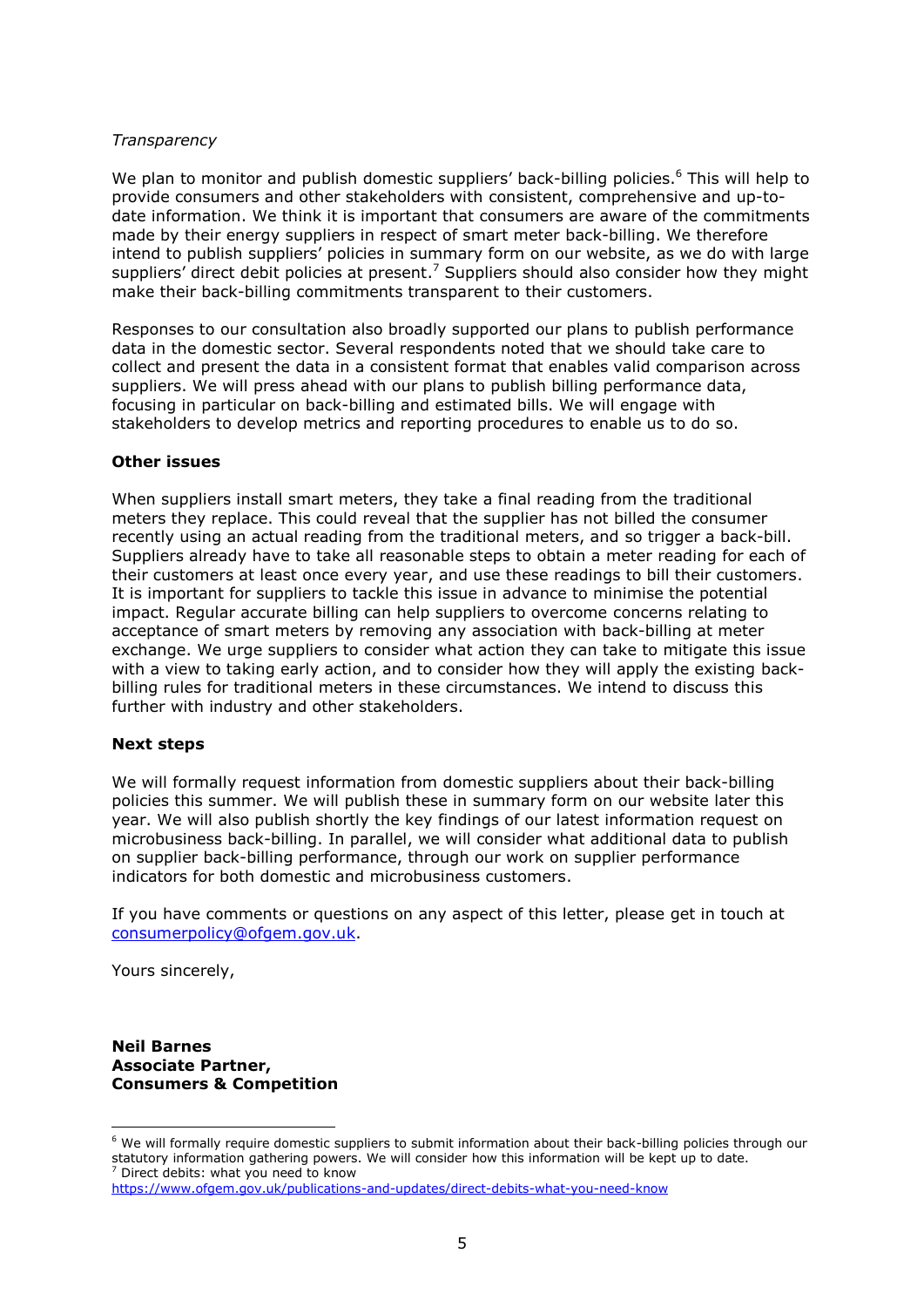## *Transparency*

We plan to monitor and publish domestic suppliers' back-billing policies.<sup>6</sup> This will help to provide consumers and other stakeholders with consistent, comprehensive and up-todate information. We think it is important that consumers are aware of the commitments made by their energy suppliers in respect of smart meter back-billing. We therefore intend to publish suppliers' policies in summary form on our website, as we do with large suppliers' direct debit policies at present.<sup>7</sup> Suppliers should also consider how they might make their back-billing commitments transparent to their customers.

Responses to our consultation also broadly supported our plans to publish performance data in the domestic sector. Several respondents noted that we should take care to collect and present the data in a consistent format that enables valid comparison across suppliers. We will press ahead with our plans to publish billing performance data, focusing in particular on back-billing and estimated bills. We will engage with stakeholders to develop metrics and reporting procedures to enable us to do so.

### **Other issues**

When suppliers install smart meters, they take a final reading from the traditional meters they replace. This could reveal that the supplier has not billed the consumer recently using an actual reading from the traditional meters, and so trigger a back-bill. Suppliers already have to take all reasonable steps to obtain a meter reading for each of their customers at least once every year, and use these readings to bill their customers. It is important for suppliers to tackle this issue in advance to minimise the potential impact. Regular accurate billing can help suppliers to overcome concerns relating to acceptance of smart meters by removing any association with back-billing at meter exchange. We urge suppliers to consider what action they can take to mitigate this issue with a view to taking early action, and to consider how they will apply the existing backbilling rules for traditional meters in these circumstances. We intend to discuss this further with industry and other stakeholders.

#### **Next steps**

We will formally request information from domestic suppliers about their back-billing policies this summer. We will publish these in summary form on our website later this year. We will also publish shortly the key findings of our latest information request on microbusiness back-billing. In parallel, we will consider what additional data to publish on supplier back-billing performance, through our work on supplier performance indicators for both domestic and microbusiness customers.

If you have comments or questions on any aspect of this letter, please get in touch at [consumerpolicy@ofgem.gov.uk.](mailto:consumerpolicy@ofgem.gov.uk)

Yours sincerely,

-

**Neil Barnes Associate Partner, Consumers & Competition**

<sup>&</sup>lt;sup>6</sup> We will formally require domestic suppliers to submit information about their back-billing policies through our statutory information gathering powers. We will consider how this information will be kept up to date.  $7$  Direct debits: what you need to know

<https://www.ofgem.gov.uk/publications-and-updates/direct-debits-what-you-need-know>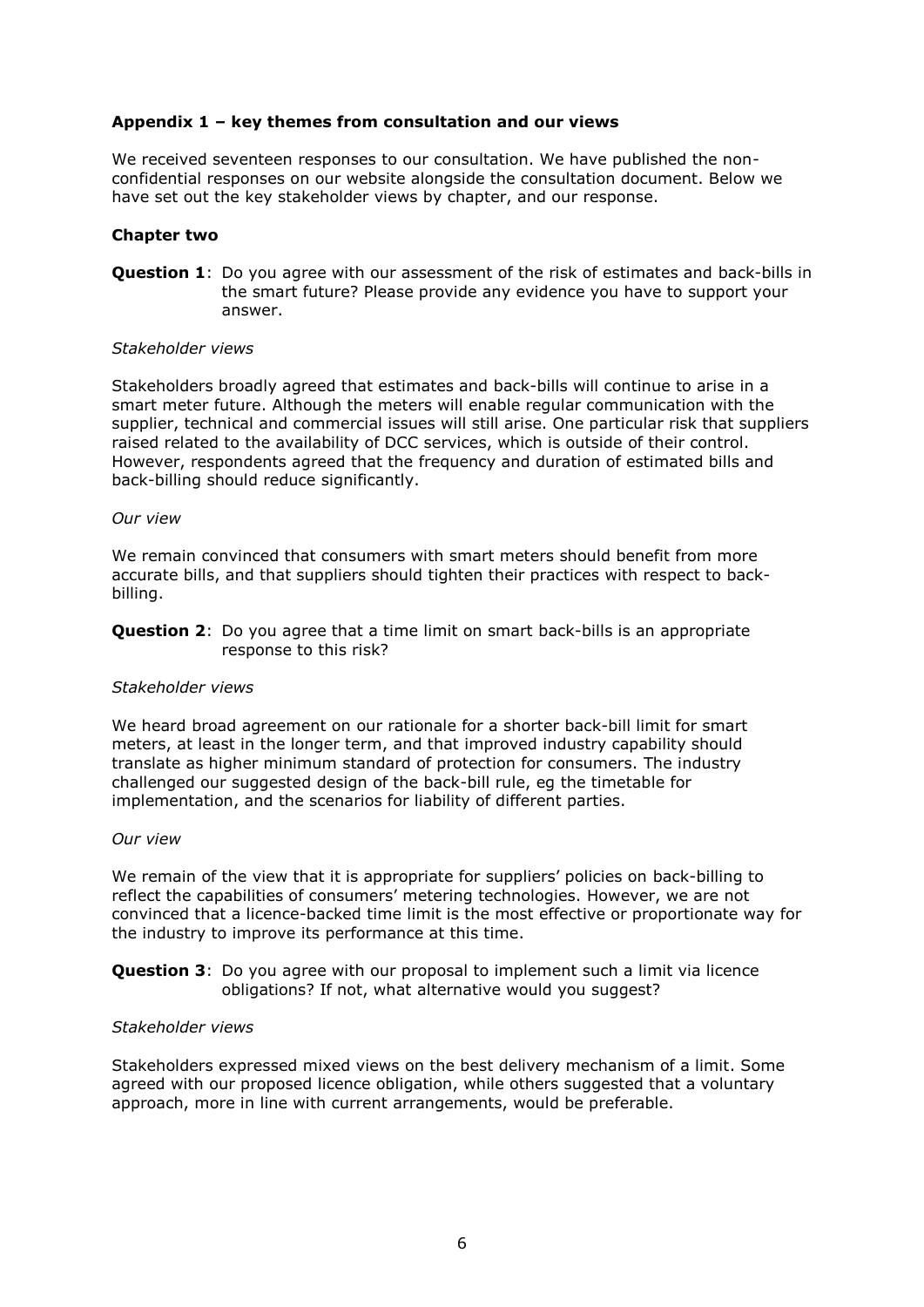# **Appendix 1 – key themes from consultation and our views**

We received seventeen responses to our consultation. We have published the nonconfidential responses on our website alongside the consultation document. Below we have set out the key stakeholder views by chapter, and our response.

## **Chapter two**

**Question 1**: Do you agree with our assessment of the risk of estimates and back-bills in the smart future? Please provide any evidence you have to support your answer.

#### *Stakeholder views*

Stakeholders broadly agreed that estimates and back-bills will continue to arise in a smart meter future. Although the meters will enable regular communication with the supplier, technical and commercial issues will still arise. One particular risk that suppliers raised related to the availability of DCC services, which is outside of their control. However, respondents agreed that the frequency and duration of estimated bills and back-billing should reduce significantly.

#### *Our view*

We remain convinced that consumers with smart meters should benefit from more accurate bills, and that suppliers should tighten their practices with respect to backbilling.

**Question 2:** Do you agree that a time limit on smart back-bills is an appropriate response to this risk?

#### *Stakeholder views*

We heard broad agreement on our rationale for a shorter back-bill limit for smart meters, at least in the longer term, and that improved industry capability should translate as higher minimum standard of protection for consumers. The industry challenged our suggested design of the back-bill rule, eg the timetable for implementation, and the scenarios for liability of different parties.

### *Our view*

We remain of the view that it is appropriate for suppliers' policies on back-billing to reflect the capabilities of consumers' metering technologies. However, we are not convinced that a licence-backed time limit is the most effective or proportionate way for the industry to improve its performance at this time.

## **Question 3**: Do you agree with our proposal to implement such a limit via licence obligations? If not, what alternative would you suggest?

#### *Stakeholder views*

Stakeholders expressed mixed views on the best delivery mechanism of a limit. Some agreed with our proposed licence obligation, while others suggested that a voluntary approach, more in line with current arrangements, would be preferable.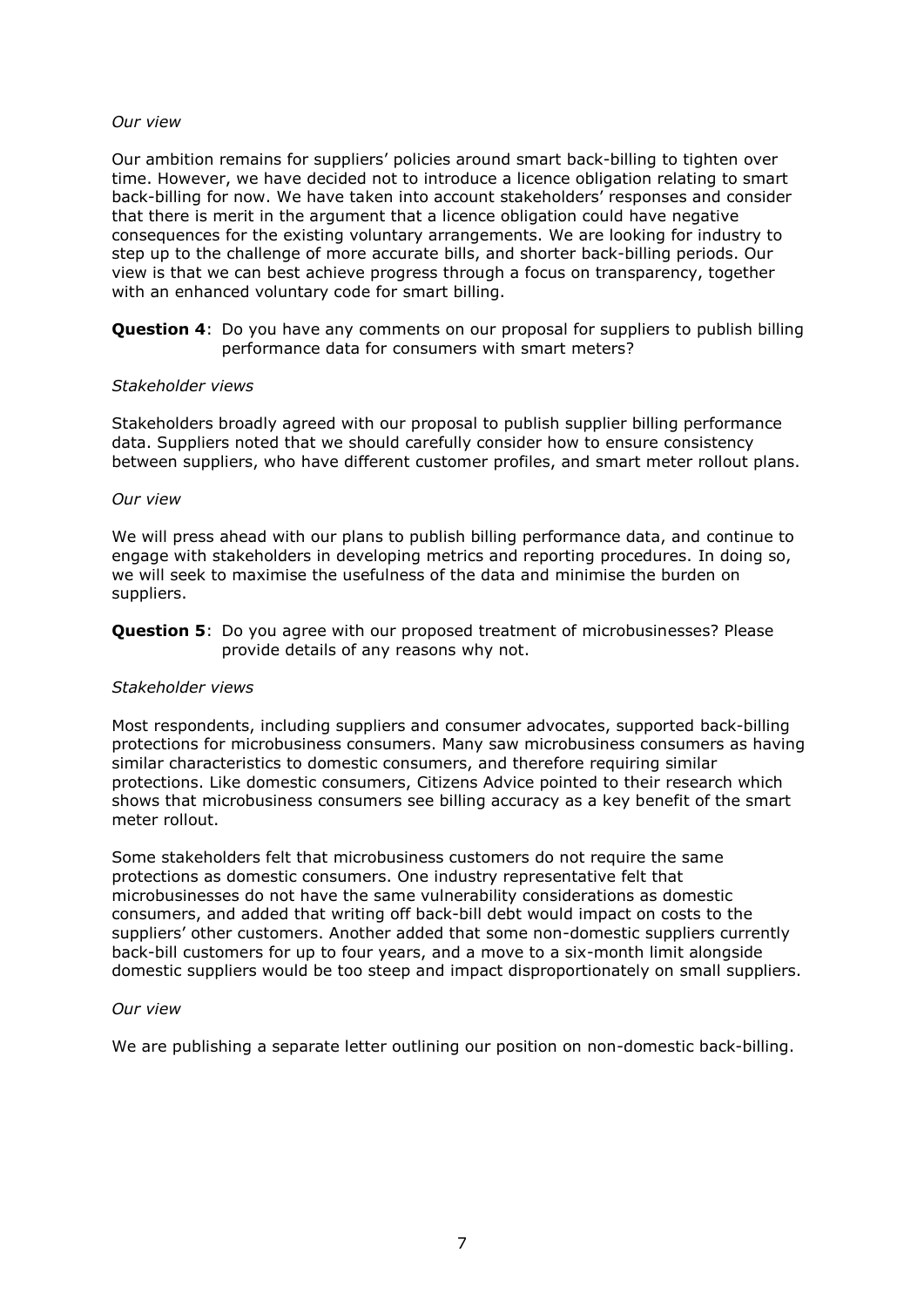## *Our view*

Our ambition remains for suppliers' policies around smart back-billing to tighten over time. However, we have decided not to introduce a licence obligation relating to smart back-billing for now. We have taken into account stakeholders' responses and consider that there is merit in the argument that a licence obligation could have negative consequences for the existing voluntary arrangements. We are looking for industry to step up to the challenge of more accurate bills, and shorter back-billing periods. Our view is that we can best achieve progress through a focus on transparency, together with an enhanced voluntary code for smart billing.

**Question 4**: Do you have any comments on our proposal for suppliers to publish billing performance data for consumers with smart meters?

### *Stakeholder views*

Stakeholders broadly agreed with our proposal to publish supplier billing performance data. Suppliers noted that we should carefully consider how to ensure consistency between suppliers, who have different customer profiles, and smart meter rollout plans.

### *Our view*

We will press ahead with our plans to publish billing performance data, and continue to engage with stakeholders in developing metrics and reporting procedures. In doing so, we will seek to maximise the usefulness of the data and minimise the burden on suppliers.

**Question 5**: Do you agree with our proposed treatment of microbusinesses? Please provide details of any reasons why not.

## *Stakeholder views*

Most respondents, including suppliers and consumer advocates, supported back-billing protections for microbusiness consumers. Many saw microbusiness consumers as having similar characteristics to domestic consumers, and therefore requiring similar protections. Like domestic consumers, Citizens Advice pointed to their research which shows that microbusiness consumers see billing accuracy as a key benefit of the smart meter rollout.

Some stakeholders felt that microbusiness customers do not require the same protections as domestic consumers. One industry representative felt that microbusinesses do not have the same vulnerability considerations as domestic consumers, and added that writing off back-bill debt would impact on costs to the suppliers' other customers. Another added that some non-domestic suppliers currently back-bill customers for up to four years, and a move to a six-month limit alongside domestic suppliers would be too steep and impact disproportionately on small suppliers.

#### *Our view*

We are publishing a separate letter outlining our position on non-domestic back-billing.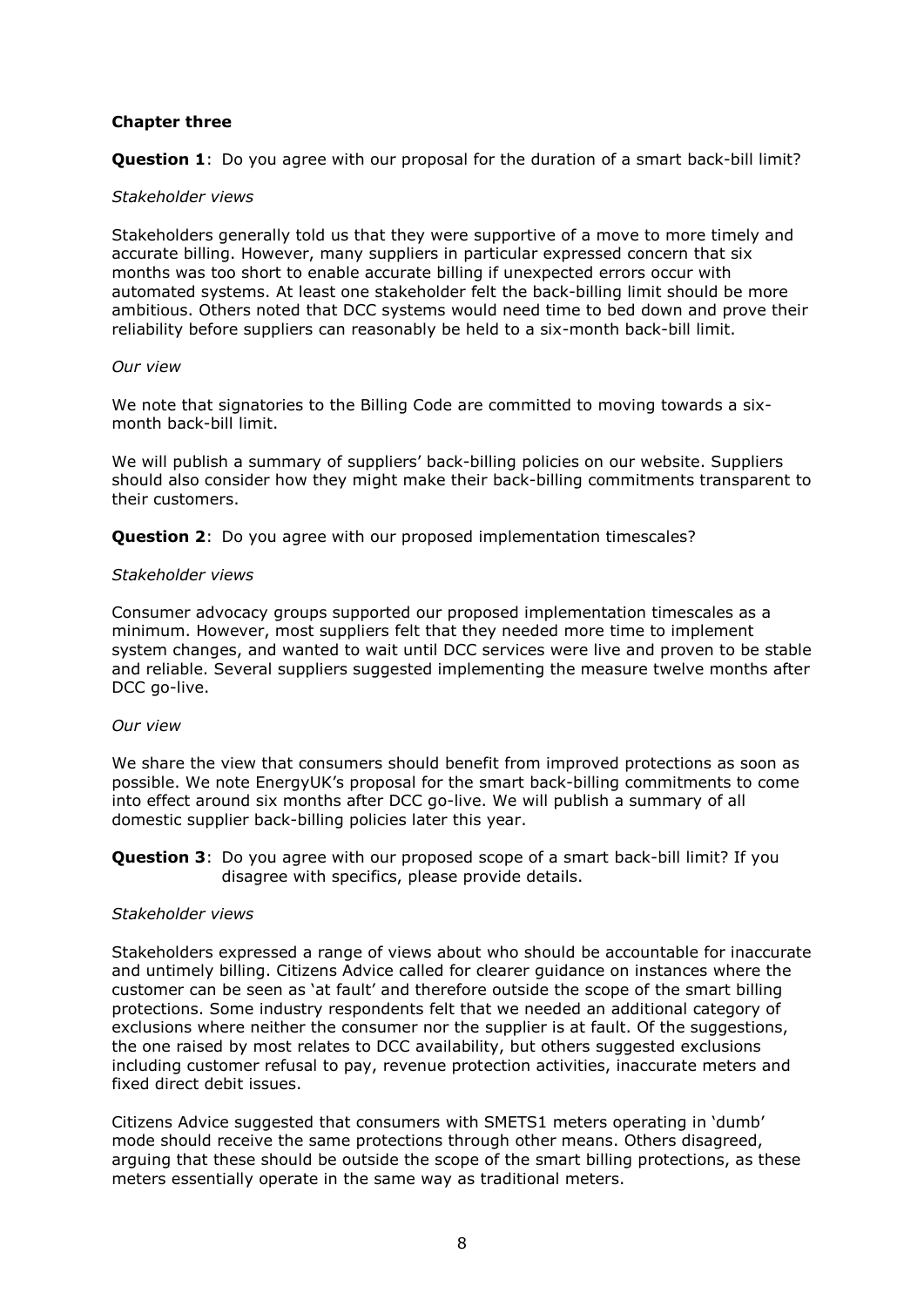# **Chapter three**

**Question 1**: Do you agree with our proposal for the duration of a smart back-bill limit?

## *Stakeholder views*

Stakeholders generally told us that they were supportive of a move to more timely and accurate billing. However, many suppliers in particular expressed concern that six months was too short to enable accurate billing if unexpected errors occur with automated systems. At least one stakeholder felt the back-billing limit should be more ambitious. Others noted that DCC systems would need time to bed down and prove their reliability before suppliers can reasonably be held to a six-month back-bill limit.

### *Our view*

We note that signatories to the Billing Code are committed to moving towards a sixmonth back-bill limit.

We will publish a summary of suppliers' back-billing policies on our website. Suppliers should also consider how they might make their back-billing commitments transparent to their customers.

**Question 2:** Do you agree with our proposed implementation timescales?

## *Stakeholder views*

Consumer advocacy groups supported our proposed implementation timescales as a minimum. However, most suppliers felt that they needed more time to implement system changes, and wanted to wait until DCC services were live and proven to be stable and reliable. Several suppliers suggested implementing the measure twelve months after DCC go-live.

## *Our view*

We share the view that consumers should benefit from improved protections as soon as possible. We note EnergyUK's proposal for the smart back-billing commitments to come into effect around six months after DCC go-live. We will publish a summary of all domestic supplier back-billing policies later this year.

**Question 3**: Do you agree with our proposed scope of a smart back-bill limit? If you disagree with specifics, please provide details.

## *Stakeholder views*

Stakeholders expressed a range of views about who should be accountable for inaccurate and untimely billing. Citizens Advice called for clearer guidance on instances where the customer can be seen as 'at fault' and therefore outside the scope of the smart billing protections. Some industry respondents felt that we needed an additional category of exclusions where neither the consumer nor the supplier is at fault. Of the suggestions, the one raised by most relates to DCC availability, but others suggested exclusions including customer refusal to pay, revenue protection activities, inaccurate meters and fixed direct debit issues.

Citizens Advice suggested that consumers with SMETS1 meters operating in 'dumb' mode should receive the same protections through other means. Others disagreed, arguing that these should be outside the scope of the smart billing protections, as these meters essentially operate in the same way as traditional meters.